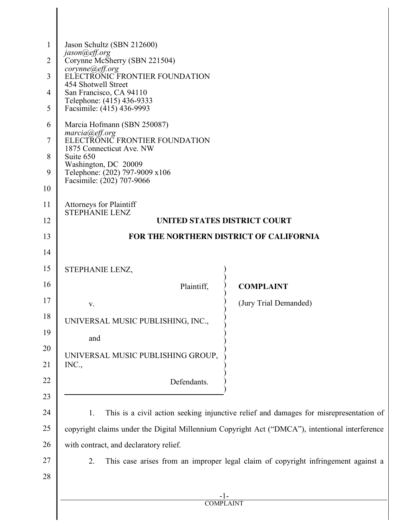| 1              | Jason Schultz (SBN 212600)                                                                     |                       |  |  |
|----------------|------------------------------------------------------------------------------------------------|-----------------------|--|--|
| $\overline{2}$ | jason@eff.org<br>Corynne McSherry (SBN 221504)                                                 |                       |  |  |
| 3              | corynne@eff.org<br>ELECTRONIC FRONTIER FOUNDATION                                              |                       |  |  |
| 4              | 454 Shotwell Street<br>San Francisco, CA 94110                                                 |                       |  |  |
| 5              | Telephone: (415) 436-9333<br>Facsimile: (415) 436-9993                                         |                       |  |  |
| 6              | Marcia Hofmann (SBN 250087)                                                                    |                       |  |  |
| $\overline{7}$ | marcia@eff.org<br>ELECTRONIC FRONTIER FOUNDATION                                               |                       |  |  |
| 8              | 1875 Connecticut Ave. NW<br>Suite 650                                                          |                       |  |  |
| 9              | Washington, DC 20009<br>Telephone: (202) 797-9009 x106                                         |                       |  |  |
| 10             | Facsimile: (202) 707-9066                                                                      |                       |  |  |
| 11             | <b>Attorneys for Plaintiff</b><br><b>STEPHANIE LENZ</b>                                        |                       |  |  |
| 12             | <b>UNITED STATES DISTRICT COURT</b>                                                            |                       |  |  |
| 13             | FOR THE NORTHERN DISTRICT OF CALIFORNIA                                                        |                       |  |  |
| 14             |                                                                                                |                       |  |  |
| 15             | STEPHANIE LENZ,                                                                                |                       |  |  |
| 16             | Plaintiff,                                                                                     | <b>COMPLAINT</b>      |  |  |
| 17             | V.                                                                                             | (Jury Trial Demanded) |  |  |
| 18             | UNIVERSAL MUSIC PUBLISHING, INC.                                                               |                       |  |  |
| 19             | and                                                                                            |                       |  |  |
| 20<br>21       | UNIVERSAL MUSIC PUBLISHING GROUP,<br>INC.,                                                     |                       |  |  |
| 22             | Defendants.                                                                                    |                       |  |  |
| 23             |                                                                                                |                       |  |  |
| 24             | This is a civil action seeking injunctive relief and damages for misrepresentation of<br>1.    |                       |  |  |
| 25             | copyright claims under the Digital Millennium Copyright Act ("DMCA"), intentional interference |                       |  |  |
| 26             | with contract, and declaratory relief.                                                         |                       |  |  |
| 27             | This case arises from an improper legal claim of copyright infringement against a<br>2.        |                       |  |  |
| 28             |                                                                                                |                       |  |  |
|                |                                                                                                |                       |  |  |
|                | <b>COMPLAINT</b>                                                                               |                       |  |  |
|                |                                                                                                |                       |  |  |

║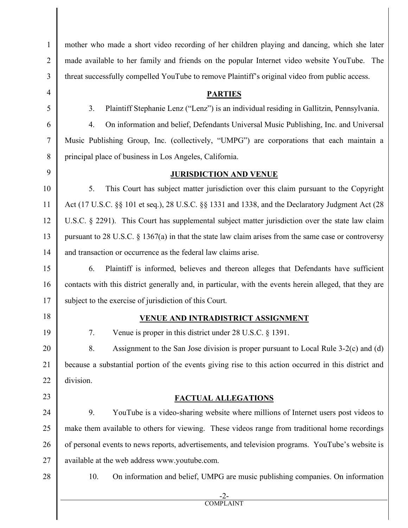mother who made a short video recording of her children playing and dancing, which she later made available to her family and friends on the popular Internet video website YouTube. The threat successfully compelled YouTube to remove Plaintiff's original video from public access.

#### **PARTIES**

3. Plaintiff Stephanie Lenz ("Lenz") is an individual residing in Gallitzin, Pennsylvania.

4. On information and belief, Defendants Universal Music Publishing, Inc. and Universal Music Publishing Group, Inc. (collectively, "UMPG") are corporations that each maintain a principal place of business in Los Angeles, California.

### **JURISDICTION AND VENUE**

5. This Court has subject matter jurisdiction over this claim pursuant to the Copyright Act (17 U.S.C. §§ 101 et seq.), 28 U.S.C. §§ 1331 and 1338, and the Declaratory Judgment Act (28 U.S.C. § 2291). This Court has supplemental subject matter jurisdiction over the state law claim pursuant to 28 U.S.C. § 1367(a) in that the state law claim arises from the same case or controversy and transaction or occurrence as the federal law claims arise.

6. Plaintiff is informed, believes and thereon alleges that Defendants have sufficient contacts with this district generally and, in particular, with the events herein alleged, that they are subject to the exercise of jurisdiction of this Court.

18

19

20

21

22

23

1

 $\mathcal{L}$ 

3

4

5

6

7

8

9

10

11

12

13

14

15

16

17

#### **VENUE AND INTRADISTRICT ASSIGNMENT**

7. Venue is proper in this district under 28 U.S.C. § 1391.

8. Assignment to the San Jose division is proper pursuant to Local Rule 3-2(c) and (d) because a substantial portion of the events giving rise to this action occurred in this district and division.

### **FACTUAL ALLEGATIONS**

24 25 26 27 9. YouTube is a video-sharing website where millions of Internet users post videos to make them available to others for viewing. These videos range from traditional home recordings of personal events to news reports, advertisements, and television programs. YouTube's website is available at the web address www.youtube.com.

28

10. On information and belief, UMPG are music publishing companies. On information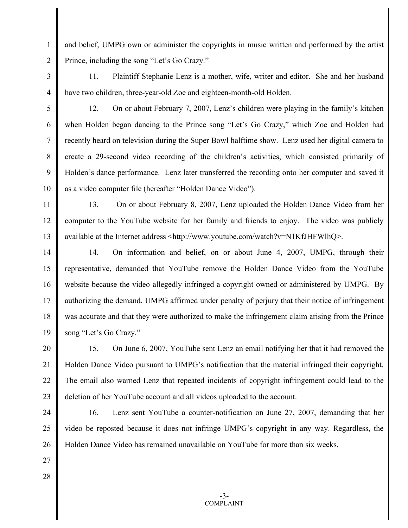and belief, UMPG own or administer the copyrights in music written and performed by the artist Prince, including the song "Let's Go Crazy."

11. Plaintiff Stephanie Lenz is a mother, wife, writer and editor. She and her husband have two children, three-year-old Zoe and eighteen-month-old Holden.

4

1

 $\mathfrak{D}$ 

3

5

6

7

8

9

10

12

13

24

25

26

27

28

12. On or about February 7, 2007, Lenz's children were playing in the family's kitchen when Holden began dancing to the Prince song "Let's Go Crazy," which Zoe and Holden had recently heard on television during the Super Bowl halftime show. Lenz used her digital camera to create a 29-second video recording of the children's activities, which consisted primarily of Holden's dance performance. Lenz later transferred the recording onto her computer and saved it as a video computer file (hereafter "Holden Dance Video").

11

13. On or about February 8, 2007, Lenz uploaded the Holden Dance Video from her computer to the YouTube website for her family and friends to enjoy. The video was publicly available at the Internet address <http://www.youtube.com/watch?v=N1KfJHFWlhQ>.

14 15 16 17 18 19 14. On information and belief, on or about June 4, 2007, UMPG, through their representative, demanded that YouTube remove the Holden Dance Video from the YouTube website because the video allegedly infringed a copyright owned or administered by UMPG. By authorizing the demand, UMPG affirmed under penalty of perjury that their notice of infringement was accurate and that they were authorized to make the infringement claim arising from the Prince song "Let's Go Crazy."

20 21 22 23 15. On June 6, 2007, YouTube sent Lenz an email notifying her that it had removed the Holden Dance Video pursuant to UMPG's notification that the material infringed their copyright. The email also warned Lenz that repeated incidents of copyright infringement could lead to the deletion of her YouTube account and all videos uploaded to the account.

16. Lenz sent YouTube a counter-notification on June 27, 2007, demanding that her video be reposted because it does not infringe UMPG's copyright in any way. Regardless, the Holden Dance Video has remained unavailable on YouTube for more than six weeks.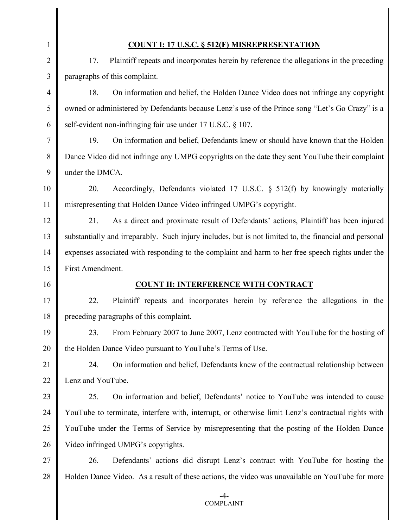# **COUNT I: 17 U.S.C. § 512(F) MISREPRESENTATION**

17. Plaintiff repeats and incorporates herein by reference the allegations in the preceding paragraphs of this complaint.

18. On information and belief, the Holden Dance Video does not infringe any copyright owned or administered by Defendants because Lenz's use of the Prince song "Let's Go Crazy" is a self-evident non-infringing fair use under 17 U.S.C. § 107.

19. On information and belief, Defendants knew or should have known that the Holden Dance Video did not infringe any UMPG copyrights on the date they sent YouTube their complaint under the DMCA.

10 11 20. Accordingly, Defendants violated 17 U.S.C. § 512(f) by knowingly materially misrepresenting that Holden Dance Video infringed UMPG's copyright.

12 13 14 15 21. As a direct and proximate result of Defendants' actions, Plaintiff has been injured substantially and irreparably. Such injury includes, but is not limited to, the financial and personal expenses associated with responding to the complaint and harm to her free speech rights under the First Amendment.

16

1

 $\mathcal{L}$ 

3

4

5

6

7

8

9

# **COUNT II: INTERFERENCE WITH CONTRACT**

17 18 22. Plaintiff repeats and incorporates herein by reference the allegations in the preceding paragraphs of this complaint.

19 20 23. From February 2007 to June 2007, Lenz contracted with YouTube for the hosting of the Holden Dance Video pursuant to YouTube's Terms of Use.

21 22 24. On information and belief, Defendants knew of the contractual relationship between Lenz and YouTube.

23 24 25 26 25. On information and belief, Defendants' notice to YouTube was intended to cause YouTube to terminate, interfere with, interrupt, or otherwise limit Lenz's contractual rights with YouTube under the Terms of Service by misrepresenting that the posting of the Holden Dance Video infringed UMPG's copyrights.

27 28 26. Defendants' actions did disrupt Lenz's contract with YouTube for hosting the Holden Dance Video. As a result of these actions, the video was unavailable on YouTube for more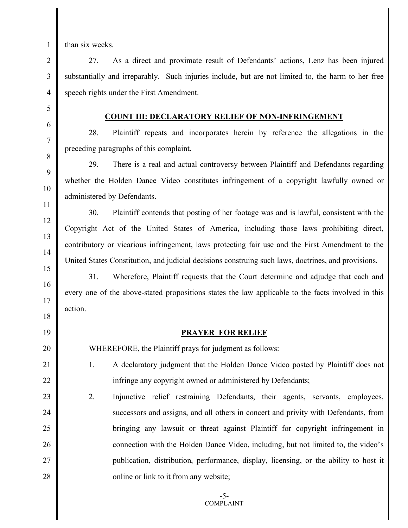than six weeks.

27. As a direct and proximate result of Defendants' actions, Lenz has been injured substantially and irreparably. Such injuries include, but are not limited to, the harm to her free speech rights under the First Amendment.

### **COUNT III: DECLARATORY RELIEF OF NON-INFRINGEMENT**

28. Plaintiff repeats and incorporates herein by reference the allegations in the preceding paragraphs of this complaint.

29. There is a real and actual controversy between Plaintiff and Defendants regarding whether the Holden Dance Video constitutes infringement of a copyright lawfully owned or administered by Defendants.

30. Plaintiff contends that posting of her footage was and is lawful, consistent with the Copyright Act of the United States of America, including those laws prohibiting direct, contributory or vicarious infringement, laws protecting fair use and the First Amendment to the United States Constitution, and judicial decisions construing such laws, doctrines, and provisions.

31. Wherefore, Plaintiff requests that the Court determine and adjudge that each and every one of the above-stated propositions states the law applicable to the facts involved in this action.

# **PRAYER FOR RELIEF**

WHEREFORE, the Plaintiff prays for judgment as follows:

- 1. A declaratory judgment that the Holden Dance Video posted by Plaintiff does not infringe any copyright owned or administered by Defendants;
- 2. Injunctive relief restraining Defendants, their agents, servants, employees, successors and assigns, and all others in concert and privity with Defendants, from bringing any lawsuit or threat against Plaintiff for copyright infringement in connection with the Holden Dance Video, including, but not limited to, the video's publication, distribution, performance, display, licensing, or the ability to host it online or link to it from any website;